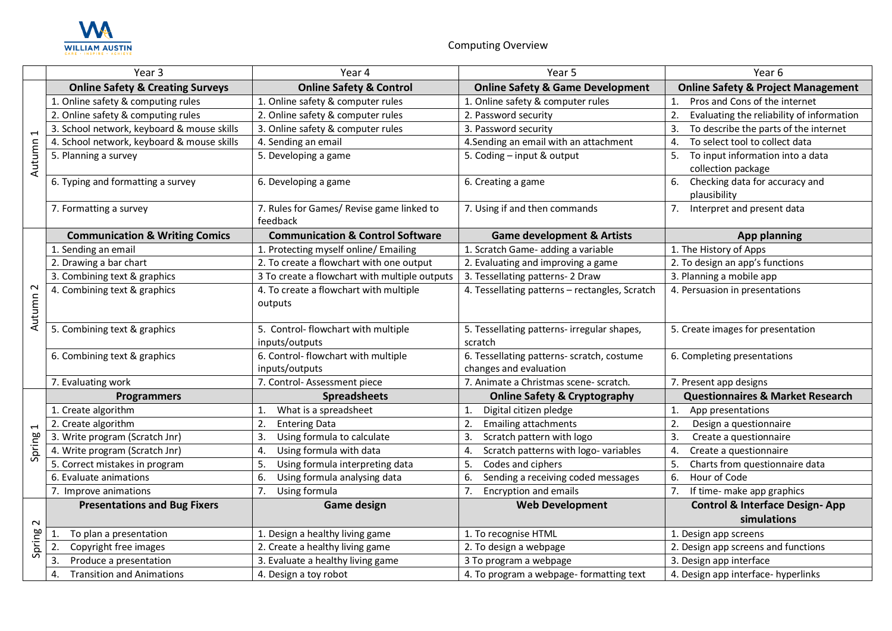

|                                    | Year 3                                      | Year 4                                                | Year 5                                                               | Year 6                                                       |
|------------------------------------|---------------------------------------------|-------------------------------------------------------|----------------------------------------------------------------------|--------------------------------------------------------------|
| $\overline{\phantom{0}}$<br>Autumn | <b>Online Safety &amp; Creating Surveys</b> | <b>Online Safety &amp; Control</b>                    | <b>Online Safety &amp; Game Development</b>                          | <b>Online Safety &amp; Project Management</b>                |
|                                    | 1. Online safety & computing rules          | 1. Online safety & computer rules                     | 1. Online safety & computer rules                                    | Pros and Cons of the internet<br>$\mathbf{1}$ .              |
|                                    | 2. Online safety & computing rules          | 2. Online safety & computer rules                     | 2. Password security                                                 | Evaluating the reliability of information<br>2.              |
|                                    | 3. School network, keyboard & mouse skills  | 3. Online safety & computer rules                     | 3. Password security                                                 | To describe the parts of the internet                        |
|                                    | 4. School network, keyboard & mouse skills  | 4. Sending an email                                   | 4. Sending an email with an attachment                               | To select tool to collect data                               |
|                                    | 5. Planning a survey                        | 5. Developing a game                                  | 5. Coding - input & output                                           | 5.<br>To input information into a data<br>collection package |
|                                    | 6. Typing and formatting a survey           | 6. Developing a game                                  | 6. Creating a game                                                   | Checking data for accuracy and<br>6.<br>plausibility         |
|                                    | 7. Formatting a survey                      | 7. Rules for Games/ Revise game linked to<br>feedback | 7. Using if and then commands                                        | 7 <sub>1</sub><br>Interpret and present data                 |
|                                    | <b>Communication &amp; Writing Comics</b>   | <b>Communication &amp; Control Software</b>           | <b>Game development &amp; Artists</b>                                | <b>App planning</b>                                          |
|                                    | 1. Sending an email                         | 1. Protecting myself online/ Emailing                 | 1. Scratch Game- adding a variable                                   | 1. The History of Apps                                       |
|                                    | 2. Drawing a bar chart                      | 2. To create a flowchart with one output              | 2. Evaluating and improving a game                                   | 2. To design an app's functions                              |
|                                    | 3. Combining text & graphics                | 3 To create a flowchart with multiple outputs         | 3. Tessellating patterns- 2 Draw                                     | 3. Planning a mobile app                                     |
| Autumn <sub>2</sub>                | 4. Combining text & graphics                | 4. To create a flowchart with multiple<br>outputs     | 4. Tessellating patterns - rectangles, Scratch                       | 4. Persuasion in presentations                               |
|                                    | 5. Combining text & graphics                | 5. Control-flowchart with multiple<br>inputs/outputs  | 5. Tessellating patterns- irregular shapes,<br>scratch               | 5. Create images for presentation                            |
|                                    | 6. Combining text & graphics                | 6. Control- flowchart with multiple<br>inputs/outputs | 6. Tessellating patterns- scratch, costume<br>changes and evaluation | 6. Completing presentations                                  |
|                                    | 7. Evaluating work                          | 7. Control-Assessment piece                           | 7. Animate a Christmas scene- scratch.                               | 7. Present app designs                                       |
|                                    | <b>Programmers</b>                          | <b>Spreadsheets</b>                                   | <b>Online Safety &amp; Cryptography</b>                              | <b>Questionnaires &amp; Market Research</b>                  |
| $\overline{\phantom{0}}$<br>Spring | 1. Create algorithm                         | What is a spreadsheet<br>$\mathbf{1}$                 | Digital citizen pledge<br>1.                                         | 1.<br>App presentations                                      |
|                                    | 2. Create algorithm                         | 2.<br><b>Entering Data</b>                            | 2.<br><b>Emailing attachments</b>                                    | 2.<br>Design a questionnaire                                 |
|                                    | 3. Write program (Scratch Jnr)              | 3.<br>Using formula to calculate                      | Scratch pattern with logo<br>3.                                      | 3.<br>Create a questionnaire                                 |
|                                    | 4. Write program (Scratch Jnr)              | Using formula with data<br>4.                         | Scratch patterns with logo-variables<br>4.                           | 4.<br>Create a questionnaire                                 |
|                                    | 5. Correct mistakes in program              | Using formula interpreting data<br>5.                 | Codes and ciphers<br>5.                                              | 5.<br>Charts from questionnaire data                         |
|                                    | 6. Evaluate animations                      | Using formula analysing data<br>6.                    | Sending a receiving coded messages<br>6.                             | Hour of Code<br>6.                                           |
|                                    | 7. Improve animations                       | 7.<br>Using formula                                   | <b>Encryption and emails</b><br>7.                                   | If time- make app graphics<br>7.                             |
| $\sim$<br>Spring                   | <b>Presentations and Bug Fixers</b>         | <b>Game design</b>                                    | <b>Web Development</b>                                               | <b>Control &amp; Interface Design-App</b><br>simulations     |
|                                    | To plan a presentation<br>1.                | 1. Design a healthy living game                       | 1. To recognise HTML                                                 | 1. Design app screens                                        |
|                                    | Copyright free images<br>2.                 | 2. Create a healthy living game                       | 2. To design a webpage                                               | 2. Design app screens and functions                          |
|                                    | Produce a presentation<br>3.                | 3. Evaluate a healthy living game                     | 3 To program a webpage                                               | 3. Design app interface                                      |
|                                    | <b>Transition and Animations</b><br>4.      | 4. Design a toy robot                                 | 4. To program a webpage-formatting text                              | 4. Design app interface- hyperlinks                          |